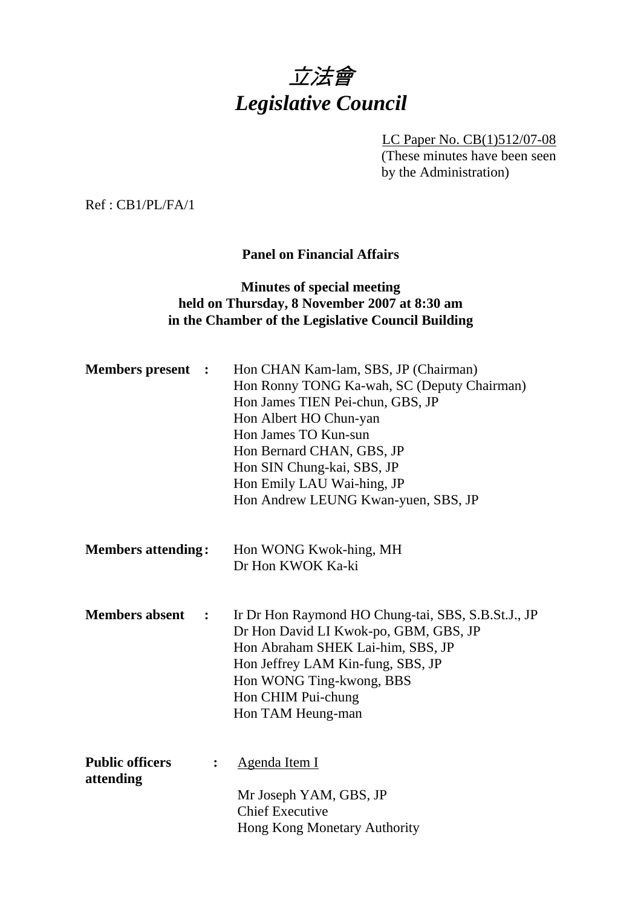

LC Paper No. CB(1)512/07-08 (These minutes have been seen by the Administration)

Ref : CB1/PL/FA/1

# **Panel on Financial Affairs**

## **Minutes of special meeting held on Thursday, 8 November 2007 at 8:30 am in the Chamber of the Legislative Council Building**

| <b>Members</b> present<br>$\ddot{\cdot}$              | Hon CHAN Kam-lam, SBS, JP (Chairman)<br>Hon Ronny TONG Ka-wah, SC (Deputy Chairman)<br>Hon James TIEN Pei-chun, GBS, JP<br>Hon Albert HO Chun-yan<br>Hon James TO Kun-sun<br>Hon Bernard CHAN, GBS, JP<br>Hon SIN Chung-kai, SBS, JP<br>Hon Emily LAU Wai-hing, JP<br>Hon Andrew LEUNG Kwan-yuen, SBS, JP |  |  |  |  |  |  |
|-------------------------------------------------------|-----------------------------------------------------------------------------------------------------------------------------------------------------------------------------------------------------------------------------------------------------------------------------------------------------------|--|--|--|--|--|--|
| <b>Members attending:</b>                             | Hon WONG Kwok-hing, MH<br>Dr Hon KWOK Ka-ki                                                                                                                                                                                                                                                               |  |  |  |  |  |  |
| <b>Members</b> absent<br>$\ddot{\cdot}$               | Ir Dr Hon Raymond HO Chung-tai, SBS, S.B.St.J., JP<br>Dr Hon David LI Kwok-po, GBM, GBS, JP<br>Hon Abraham SHEK Lai-him, SBS, JP<br>Hon Jeffrey LAM Kin-fung, SBS, JP<br>Hon WONG Ting-kwong, BBS<br>Hon CHIM Pui-chung<br>Hon TAM Heung-man                                                              |  |  |  |  |  |  |
| <b>Public officers</b><br>$\ddot{\cdot}$<br>attending | Agenda Item I<br>Mr Joseph YAM, GBS, JP<br><b>Chief Executive</b><br>Hong Kong Monetary Authority                                                                                                                                                                                                         |  |  |  |  |  |  |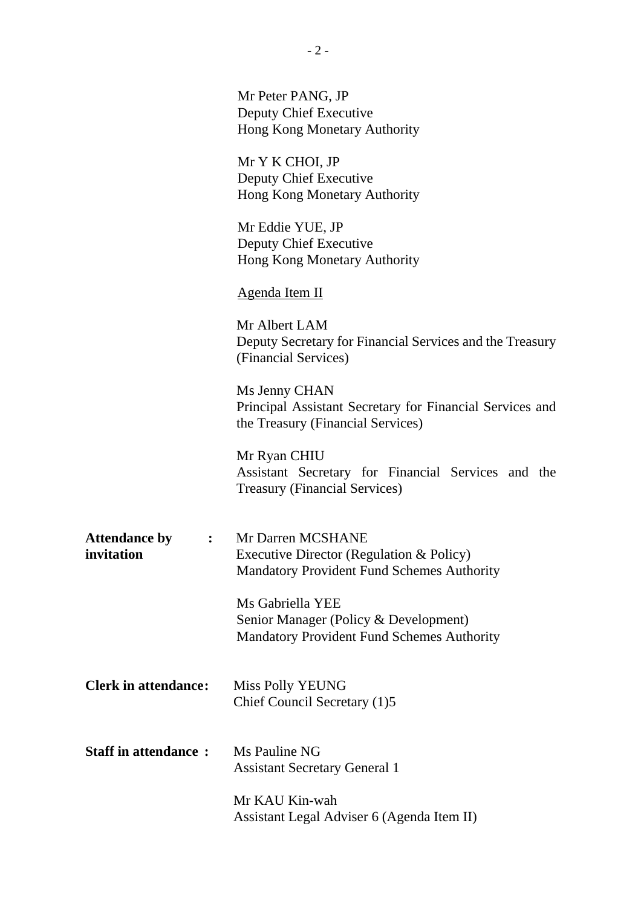|                                                              | Mr Peter PANG, JP<br>Deputy Chief Executive<br>Hong Kong Monetary Authority                                        |  |  |  |  |  |  |
|--------------------------------------------------------------|--------------------------------------------------------------------------------------------------------------------|--|--|--|--|--|--|
|                                                              | Mr Y K CHOI, JP<br>Deputy Chief Executive<br>Hong Kong Monetary Authority                                          |  |  |  |  |  |  |
|                                                              | Mr Eddie YUE, JP<br>Deputy Chief Executive<br>Hong Kong Monetary Authority                                         |  |  |  |  |  |  |
|                                                              | Agenda Item II                                                                                                     |  |  |  |  |  |  |
|                                                              | Mr Albert LAM<br>Deputy Secretary for Financial Services and the Treasury<br>(Financial Services)                  |  |  |  |  |  |  |
|                                                              | Ms Jenny CHAN<br>Principal Assistant Secretary for Financial Services and<br>the Treasury (Financial Services)     |  |  |  |  |  |  |
|                                                              | Mr Ryan CHIU<br>Assistant Secretary for Financial Services and the<br><b>Treasury (Financial Services)</b>         |  |  |  |  |  |  |
| <b>Attendance by</b><br>: $\ddot{\phantom{a}}$<br>invitation | Mr Darren MCSHANE<br>Executive Director (Regulation & Policy)<br><b>Mandatory Provident Fund Schemes Authority</b> |  |  |  |  |  |  |
|                                                              | Ms Gabriella YEE<br>Senior Manager (Policy & Development)<br><b>Mandatory Provident Fund Schemes Authority</b>     |  |  |  |  |  |  |
| <b>Clerk in attendance:</b>                                  | <b>Miss Polly YEUNG</b><br>Chief Council Secretary (1)5                                                            |  |  |  |  |  |  |
| <b>Staff in attendance:</b>                                  | Ms Pauline NG<br><b>Assistant Secretary General 1</b>                                                              |  |  |  |  |  |  |
|                                                              | Mr KAU Kin-wah<br>Assistant Legal Adviser 6 (Agenda Item II)                                                       |  |  |  |  |  |  |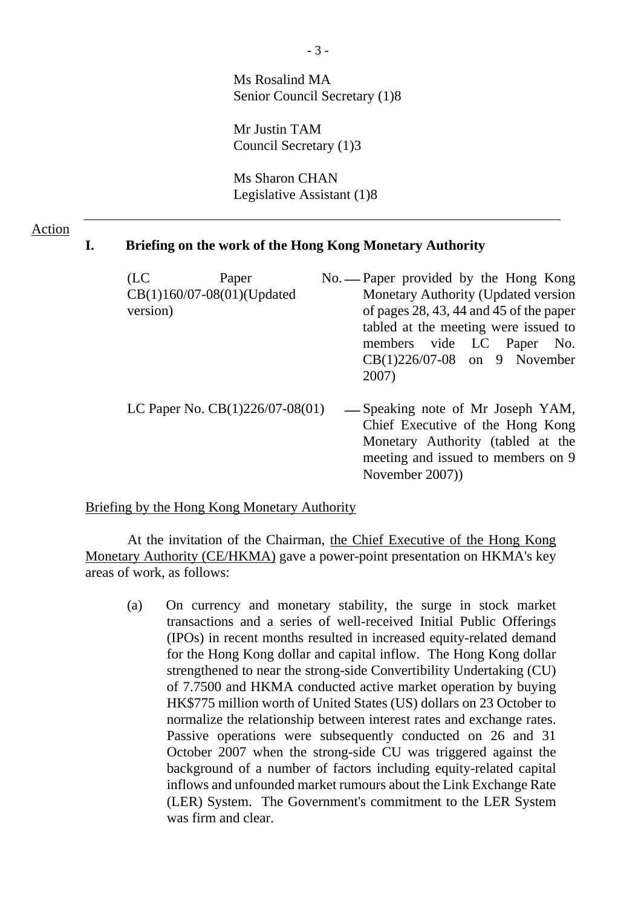Ms Rosalind MA Senior Council Secretary (1)8

Mr Justin TAM Council Secretary (1)3

Ms Sharon CHAN Legislative Assistant (1)8

### Action

#### **I. Briefing on the work of the Hong Kong Monetary Authority**

| (LC)                       | Paper                                |                                             | No. - Paper provided by the Hong Kong |  |  |  |  |
|----------------------------|--------------------------------------|---------------------------------------------|---------------------------------------|--|--|--|--|
| CB(1)160/07-08(01)(Updated |                                      |                                             | Monetary Authority (Updated version   |  |  |  |  |
| version)                   |                                      | of pages $28, 43, 44$ and $45$ of the paper |                                       |  |  |  |  |
|                            | tabled at the meeting were issued to |                                             |                                       |  |  |  |  |
|                            |                                      | members vide LC Paper No.                   |                                       |  |  |  |  |
|                            |                                      |                                             | $CB(1)226/07-08$ on 9 November        |  |  |  |  |
|                            |                                      | 2007)                                       |                                       |  |  |  |  |
|                            | LC Paper No. $CB(1)226/07-08(01)$    |                                             | — Speaking note of Mr Joseph YAM,     |  |  |  |  |
|                            |                                      | Chief Executive of the Hong Kong            |                                       |  |  |  |  |
|                            |                                      |                                             | Monetary Authority (tabled at the     |  |  |  |  |
|                            |                                      |                                             | meeting and issued to members on 9    |  |  |  |  |
|                            |                                      |                                             | November 2007)                        |  |  |  |  |

Briefing by the Hong Kong Monetary Authority

 At the invitation of the Chairman, the Chief Executive of the Hong Kong Monetary Authority (CE/HKMA) gave a power-point presentation on HKMA's key areas of work, as follows:

(a) On currency and monetary stability, the surge in stock market transactions and a series of well-received Initial Public Offerings (IPOs) in recent months resulted in increased equity-related demand for the Hong Kong dollar and capital inflow. The Hong Kong dollar strengthened to near the strong-side Convertibility Undertaking (CU) of 7.7500 and HKMA conducted active market operation by buying HK\$775 million worth of United States (US) dollars on 23 October to normalize the relationship between interest rates and exchange rates. Passive operations were subsequently conducted on 26 and 31 October 2007 when the strong-side CU was triggered against the background of a number of factors including equity-related capital inflows and unfounded market rumours about the Link Exchange Rate (LER) System. The Government's commitment to the LER System was firm and clear.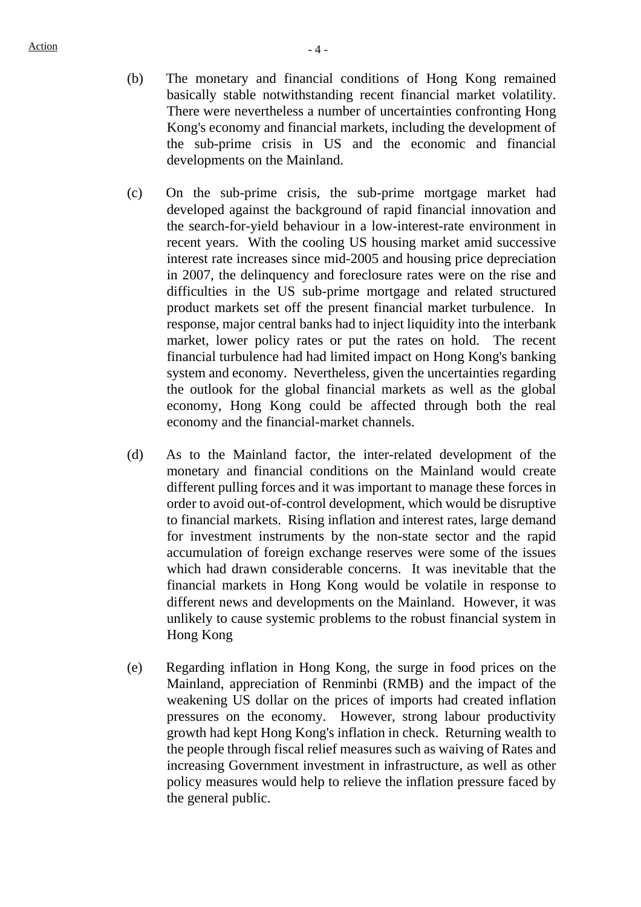- (b) The monetary and financial conditions of Hong Kong remained basically stable notwithstanding recent financial market volatility. There were nevertheless a number of uncertainties confronting Hong Kong's economy and financial markets, including the development of the sub-prime crisis in US and the economic and financial developments on the Mainland.
- (c) On the sub-prime crisis, the sub-prime mortgage market had developed against the background of rapid financial innovation and the search-for-yield behaviour in a low-interest-rate environment in recent years. With the cooling US housing market amid successive interest rate increases since mid-2005 and housing price depreciation in 2007, the delinquency and foreclosure rates were on the rise and difficulties in the US sub-prime mortgage and related structured product markets set off the present financial market turbulence. In response, major central banks had to inject liquidity into the interbank market, lower policy rates or put the rates on hold. The recent financial turbulence had had limited impact on Hong Kong's banking system and economy. Nevertheless, given the uncertainties regarding the outlook for the global financial markets as well as the global economy, Hong Kong could be affected through both the real economy and the financial-market channels.
- (d) As to the Mainland factor, the inter-related development of the monetary and financial conditions on the Mainland would create different pulling forces and it was important to manage these forces in order to avoid out-of-control development, which would be disruptive to financial markets. Rising inflation and interest rates, large demand for investment instruments by the non-state sector and the rapid accumulation of foreign exchange reserves were some of the issues which had drawn considerable concerns. It was inevitable that the financial markets in Hong Kong would be volatile in response to different news and developments on the Mainland. However, it was unlikely to cause systemic problems to the robust financial system in Hong Kong
- (e) Regarding inflation in Hong Kong, the surge in food prices on the Mainland, appreciation of Renminbi (RMB) and the impact of the weakening US dollar on the prices of imports had created inflation pressures on the economy. However, strong labour productivity growth had kept Hong Kong's inflation in check. Returning wealth to the people through fiscal relief measures such as waiving of Rates and increasing Government investment in infrastructure, as well as other policy measures would help to relieve the inflation pressure faced by the general public.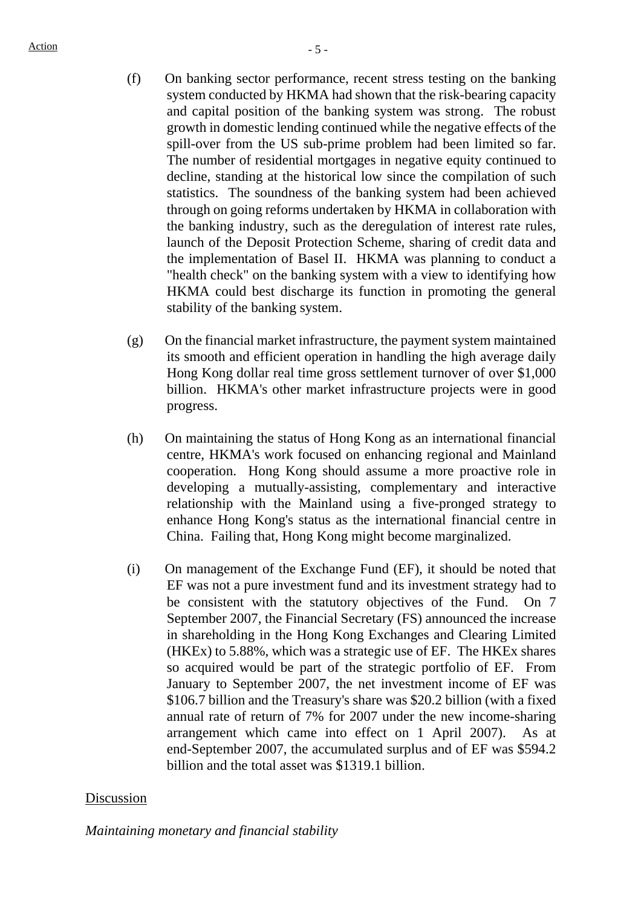- (f) On banking sector performance, recent stress testing on the banking system conducted by HKMA had shown that the risk-bearing capacity and capital position of the banking system was strong. The robust growth in domestic lending continued while the negative effects of the spill-over from the US sub-prime problem had been limited so far. The number of residential mortgages in negative equity continued to decline, standing at the historical low since the compilation of such statistics. The soundness of the banking system had been achieved through on going reforms undertaken by HKMA in collaboration with the banking industry, such as the deregulation of interest rate rules, launch of the Deposit Protection Scheme, sharing of credit data and the implementation of Basel II. HKMA was planning to conduct a "health check" on the banking system with a view to identifying how HKMA could best discharge its function in promoting the general stability of the banking system.
- (g) On the financial market infrastructure, the payment system maintained its smooth and efficient operation in handling the high average daily Hong Kong dollar real time gross settlement turnover of over \$1,000 billion. HKMA's other market infrastructure projects were in good progress.
- (h) On maintaining the status of Hong Kong as an international financial centre, HKMA's work focused on enhancing regional and Mainland cooperation. Hong Kong should assume a more proactive role in developing a mutually-assisting, complementary and interactive relationship with the Mainland using a five-pronged strategy to enhance Hong Kong's status as the international financial centre in China. Failing that, Hong Kong might become marginalized.
- (i) On management of the Exchange Fund (EF), it should be noted that EF was not a pure investment fund and its investment strategy had to be consistent with the statutory objectives of the Fund. On 7 September 2007, the Financial Secretary (FS) announced the increase in shareholding in the Hong Kong Exchanges and Clearing Limited (HKEx) to 5.88%, which was a strategic use of EF. The HKEx shares so acquired would be part of the strategic portfolio of EF. From January to September 2007, the net investment income of EF was \$106.7 billion and the Treasury's share was \$20.2 billion (with a fixed annual rate of return of 7% for 2007 under the new income-sharing arrangement which came into effect on 1 April 2007). As at end-September 2007, the accumulated surplus and of EF was \$594.2 billion and the total asset was \$1319.1 billion.

### Discussion

*Maintaining monetary and financial stability*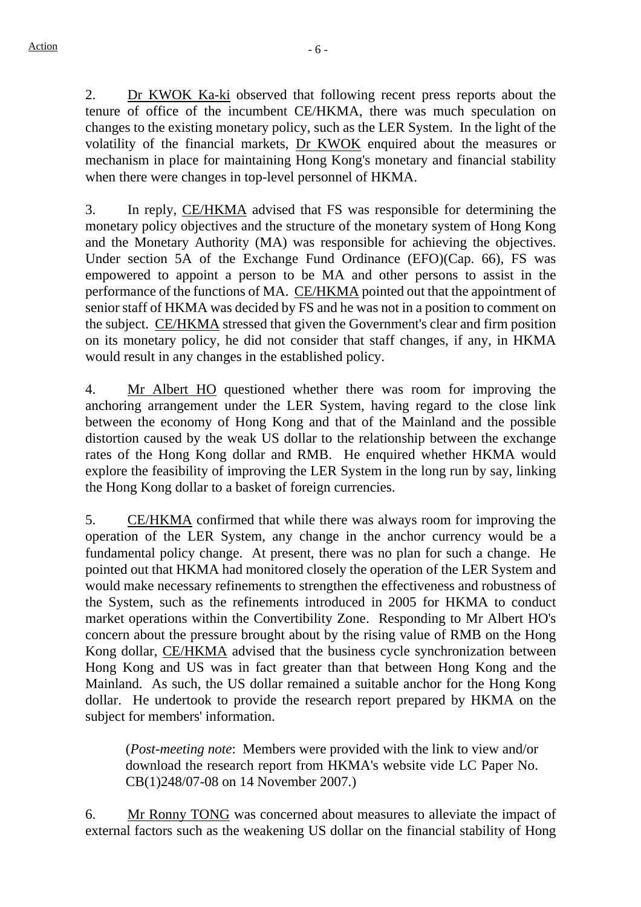2. Dr KWOK Ka-ki observed that following recent press reports about the tenure of office of the incumbent CE/HKMA, there was much speculation on changes to the existing monetary policy, such as the LER System. In the light of the volatility of the financial markets, Dr KWOK enquired about the measures or mechanism in place for maintaining Hong Kong's monetary and financial stability when there were changes in top-level personnel of HKMA.

3. In reply, CE/HKMA advised that FS was responsible for determining the monetary policy objectives and the structure of the monetary system of Hong Kong and the Monetary Authority (MA) was responsible for achieving the objectives. Under section 5A of the Exchange Fund Ordinance (EFO)(Cap. 66), FS was empowered to appoint a person to be MA and other persons to assist in the performance of the functions of MA. CE/HKMA pointed out that the appointment of senior staff of HKMA was decided by FS and he was not in a position to comment on the subject. CE/HKMA stressed that given the Government's clear and firm position on its monetary policy, he did not consider that staff changes, if any, in HKMA would result in any changes in the established policy.

4. Mr Albert HO questioned whether there was room for improving the anchoring arrangement under the LER System, having regard to the close link between the economy of Hong Kong and that of the Mainland and the possible distortion caused by the weak US dollar to the relationship between the exchange rates of the Hong Kong dollar and RMB. He enquired whether HKMA would explore the feasibility of improving the LER System in the long run by say, linking the Hong Kong dollar to a basket of foreign currencies.

5. CE/HKMA confirmed that while there was always room for improving the operation of the LER System, any change in the anchor currency would be a fundamental policy change. At present, there was no plan for such a change. He pointed out that HKMA had monitored closely the operation of the LER System and would make necessary refinements to strengthen the effectiveness and robustness of the System, such as the refinements introduced in 2005 for HKMA to conduct market operations within the Convertibility Zone. Responding to Mr Albert HO's concern about the pressure brought about by the rising value of RMB on the Hong Kong dollar, CE/HKMA advised that the business cycle synchronization between Hong Kong and US was in fact greater than that between Hong Kong and the Mainland. As such, the US dollar remained a suitable anchor for the Hong Kong dollar. He undertook to provide the research report prepared by HKMA on the subject for members' information.

(*Post-meeting note*: Members were provided with the link to view and/or download the research report from HKMA's website vide LC Paper No. CB(1)248/07-08 on 14 November 2007.)

6. Mr Ronny TONG was concerned about measures to alleviate the impact of external factors such as the weakening US dollar on the financial stability of Hong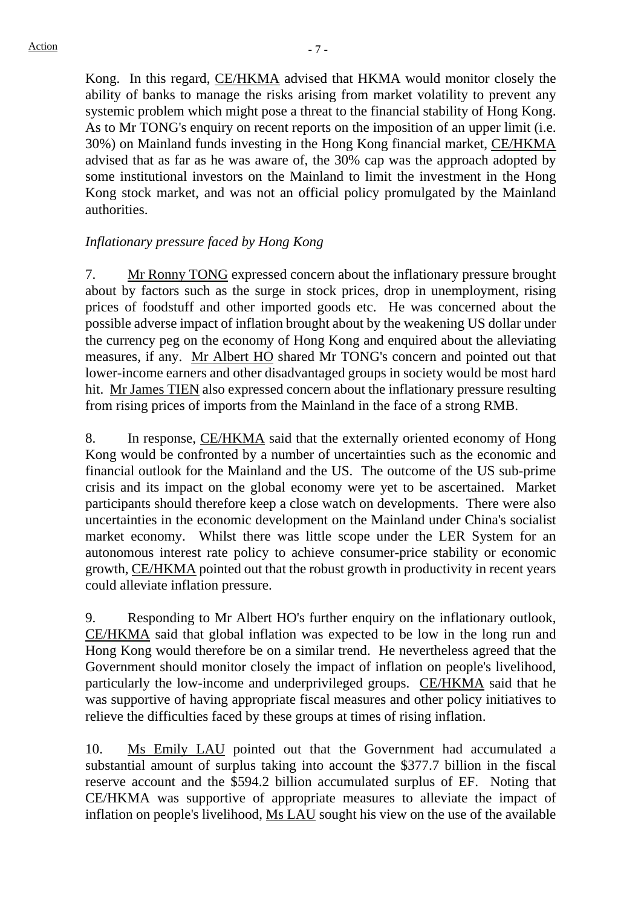Kong. In this regard, CE/HKMA advised that HKMA would monitor closely the ability of banks to manage the risks arising from market volatility to prevent any systemic problem which might pose a threat to the financial stability of Hong Kong. As to Mr TONG's enquiry on recent reports on the imposition of an upper limit (i.e. 30%) on Mainland funds investing in the Hong Kong financial market, CE/HKMA advised that as far as he was aware of, the 30% cap was the approach adopted by some institutional investors on the Mainland to limit the investment in the Hong Kong stock market, and was not an official policy promulgated by the Mainland authorities.

# *Inflationary pressure faced by Hong Kong*

7. Mr Ronny TONG expressed concern about the inflationary pressure brought about by factors such as the surge in stock prices, drop in unemployment, rising prices of foodstuff and other imported goods etc. He was concerned about the possible adverse impact of inflation brought about by the weakening US dollar under the currency peg on the economy of Hong Kong and enquired about the alleviating measures, if any. Mr Albert HO shared Mr TONG's concern and pointed out that lower-income earners and other disadvantaged groups in society would be most hard hit. Mr James TIEN also expressed concern about the inflationary pressure resulting from rising prices of imports from the Mainland in the face of a strong RMB.

8. In response, CE/HKMA said that the externally oriented economy of Hong Kong would be confronted by a number of uncertainties such as the economic and financial outlook for the Mainland and the US. The outcome of the US sub-prime crisis and its impact on the global economy were yet to be ascertained. Market participants should therefore keep a close watch on developments. There were also uncertainties in the economic development on the Mainland under China's socialist market economy. Whilst there was little scope under the LER System for an autonomous interest rate policy to achieve consumer-price stability or economic growth, CE/HKMA pointed out that the robust growth in productivity in recent years could alleviate inflation pressure.

9. Responding to Mr Albert HO's further enquiry on the inflationary outlook, CE/HKMA said that global inflation was expected to be low in the long run and Hong Kong would therefore be on a similar trend. He nevertheless agreed that the Government should monitor closely the impact of inflation on people's livelihood, particularly the low-income and underprivileged groups. CE/HKMA said that he was supportive of having appropriate fiscal measures and other policy initiatives to relieve the difficulties faced by these groups at times of rising inflation.

10. Ms Emily LAU pointed out that the Government had accumulated a substantial amount of surplus taking into account the \$377.7 billion in the fiscal reserve account and the \$594.2 billion accumulated surplus of EF. Noting that CE/HKMA was supportive of appropriate measures to alleviate the impact of inflation on people's livelihood, Ms LAU sought his view on the use of the available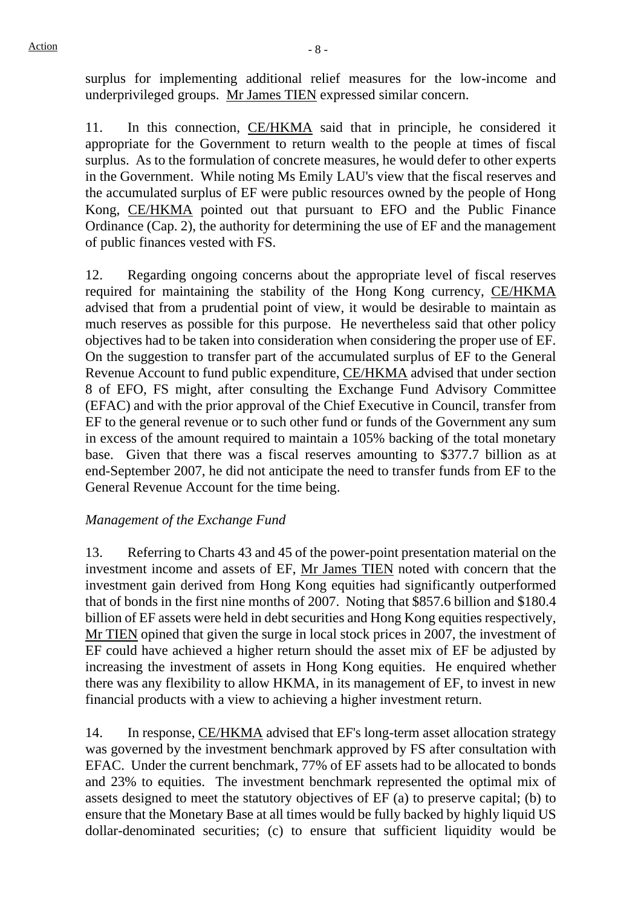surplus for implementing additional relief measures for the low-income and underprivileged groups. Mr James TIEN expressed similar concern.

11. In this connection, CE/HKMA said that in principle, he considered it appropriate for the Government to return wealth to the people at times of fiscal surplus. As to the formulation of concrete measures, he would defer to other experts in the Government. While noting Ms Emily LAU's view that the fiscal reserves and the accumulated surplus of EF were public resources owned by the people of Hong Kong, CE/HKMA pointed out that pursuant to EFO and the Public Finance Ordinance (Cap. 2), the authority for determining the use of EF and the management of public finances vested with FS.

12. Regarding ongoing concerns about the appropriate level of fiscal reserves required for maintaining the stability of the Hong Kong currency, CE/HKMA advised that from a prudential point of view, it would be desirable to maintain as much reserves as possible for this purpose. He nevertheless said that other policy objectives had to be taken into consideration when considering the proper use of EF. On the suggestion to transfer part of the accumulated surplus of EF to the General Revenue Account to fund public expenditure, CE/HKMA advised that under section 8 of EFO, FS might, after consulting the Exchange Fund Advisory Committee (EFAC) and with the prior approval of the Chief Executive in Council, transfer from EF to the general revenue or to such other fund or funds of the Government any sum in excess of the amount required to maintain a 105% backing of the total monetary base. Given that there was a fiscal reserves amounting to \$377.7 billion as at end-September 2007, he did not anticipate the need to transfer funds from EF to the General Revenue Account for the time being.

## *Management of the Exchange Fund*

13. Referring to Charts 43 and 45 of the power-point presentation material on the investment income and assets of EF, Mr James TIEN noted with concern that the investment gain derived from Hong Kong equities had significantly outperformed that of bonds in the first nine months of 2007. Noting that \$857.6 billion and \$180.4 billion of EF assets were held in debt securities and Hong Kong equities respectively, Mr TIEN opined that given the surge in local stock prices in 2007, the investment of EF could have achieved a higher return should the asset mix of EF be adjusted by increasing the investment of assets in Hong Kong equities. He enquired whether there was any flexibility to allow HKMA, in its management of EF, to invest in new financial products with a view to achieving a higher investment return.

14. In response, CE/HKMA advised that EF's long-term asset allocation strategy was governed by the investment benchmark approved by FS after consultation with EFAC. Under the current benchmark, 77% of EF assets had to be allocated to bonds and 23% to equities. The investment benchmark represented the optimal mix of assets designed to meet the statutory objectives of EF (a) to preserve capital; (b) to ensure that the Monetary Base at all times would be fully backed by highly liquid US dollar-denominated securities; (c) to ensure that sufficient liquidity would be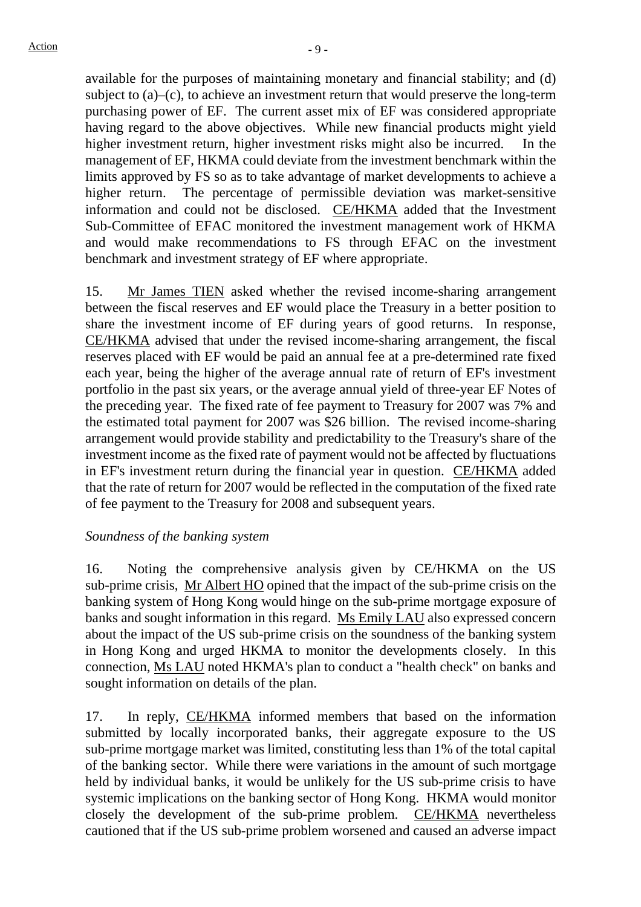available for the purposes of maintaining monetary and financial stability; and (d) subject to (a)–(c), to achieve an investment return that would preserve the long-term purchasing power of EF. The current asset mix of EF was considered appropriate having regard to the above objectives. While new financial products might yield higher investment return, higher investment risks might also be incurred. In the management of EF, HKMA could deviate from the investment benchmark within the limits approved by FS so as to take advantage of market developments to achieve a higher return. The percentage of permissible deviation was market-sensitive information and could not be disclosed. CE/HKMA added that the Investment Sub-Committee of EFAC monitored the investment management work of HKMA and would make recommendations to FS through EFAC on the investment benchmark and investment strategy of EF where appropriate.

15. Mr James TIEN asked whether the revised income-sharing arrangement between the fiscal reserves and EF would place the Treasury in a better position to share the investment income of EF during years of good returns. In response, CE/HKMA advised that under the revised income-sharing arrangement, the fiscal reserves placed with EF would be paid an annual fee at a pre-determined rate fixed each year, being the higher of the average annual rate of return of EF's investment portfolio in the past six years, or the average annual yield of three-year EF Notes of the preceding year. The fixed rate of fee payment to Treasury for 2007 was 7% and the estimated total payment for 2007 was \$26 billion. The revised income-sharing arrangement would provide stability and predictability to the Treasury's share of the investment income as the fixed rate of payment would not be affected by fluctuations in EF's investment return during the financial year in question. CE/HKMA added that the rate of return for 2007 would be reflected in the computation of the fixed rate of fee payment to the Treasury for 2008 and subsequent years.

## *Soundness of the banking system*

16. Noting the comprehensive analysis given by CE/HKMA on the US sub-prime crisis, Mr Albert HO opined that the impact of the sub-prime crisis on the banking system of Hong Kong would hinge on the sub-prime mortgage exposure of banks and sought information in this regard. Ms Emily LAU also expressed concern about the impact of the US sub-prime crisis on the soundness of the banking system in Hong Kong and urged HKMA to monitor the developments closely. In this connection, Ms LAU noted HKMA's plan to conduct a "health check" on banks and sought information on details of the plan.

17. In reply, CE/HKMA informed members that based on the information submitted by locally incorporated banks, their aggregate exposure to the US sub-prime mortgage market was limited, constituting less than 1% of the total capital of the banking sector. While there were variations in the amount of such mortgage held by individual banks, it would be unlikely for the US sub-prime crisis to have systemic implications on the banking sector of Hong Kong. HKMA would monitor closely the development of the sub-prime problem. CE/HKMA nevertheless cautioned that if the US sub-prime problem worsened and caused an adverse impact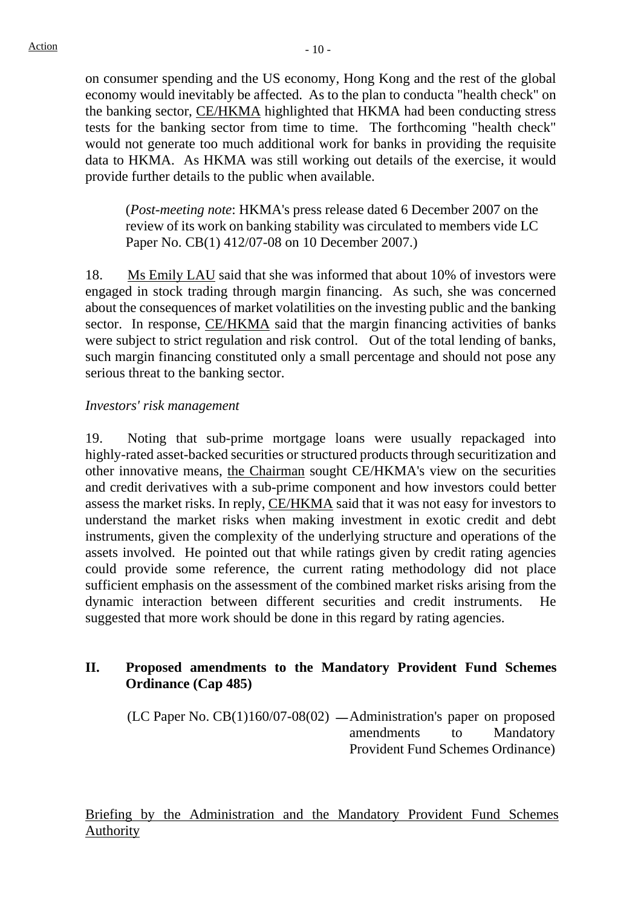on consumer spending and the US economy, Hong Kong and the rest of the global economy would inevitably be affected. As to the plan to conducta "health check" on the banking sector, CE/HKMA highlighted that HKMA had been conducting stress tests for the banking sector from time to time. The forthcoming "health check" would not generate too much additional work for banks in providing the requisite data to HKMA. As HKMA was still working out details of the exercise, it would provide further details to the public when available.

(*Post-meeting note*: HKMA's press release dated 6 December 2007 on the review of its work on banking stability was circulated to members vide LC Paper No. CB(1) 412/07-08 on 10 December 2007.)

18. Ms Emily LAU said that she was informed that about 10% of investors were engaged in stock trading through margin financing. As such, she was concerned about the consequences of market volatilities on the investing public and the banking sector. In response, CE/HKMA said that the margin financing activities of banks were subject to strict regulation and risk control. Out of the total lending of banks, such margin financing constituted only a small percentage and should not pose any serious threat to the banking sector.

### *Investors' risk management*

19. Noting that sub-prime mortgage loans were usually repackaged into highly-rated asset-backed securities or structured products through securitization and other innovative means, the Chairman sought CE/HKMA's view on the securities and credit derivatives with a sub-prime component and how investors could better assess the market risks. In reply, CE/HKMA said that it was not easy for investors to understand the market risks when making investment in exotic credit and debt instruments, given the complexity of the underlying structure and operations of the assets involved. He pointed out that while ratings given by credit rating agencies could provide some reference, the current rating methodology did not place sufficient emphasis on the assessment of the combined market risks arising from the dynamic interaction between different securities and credit instruments. He suggested that more work should be done in this regard by rating agencies.

## **II. Proposed amendments to the Mandatory Provident Fund Schemes Ordinance (Cap 485)**

 $(LC$  Paper No.  $CB(1)160/07-08(02)$  —Administration's paper on proposed amendments to Mandatory Provident Fund Schemes Ordinance)

Briefing by the Administration and the Mandatory Provident Fund Schemes Authority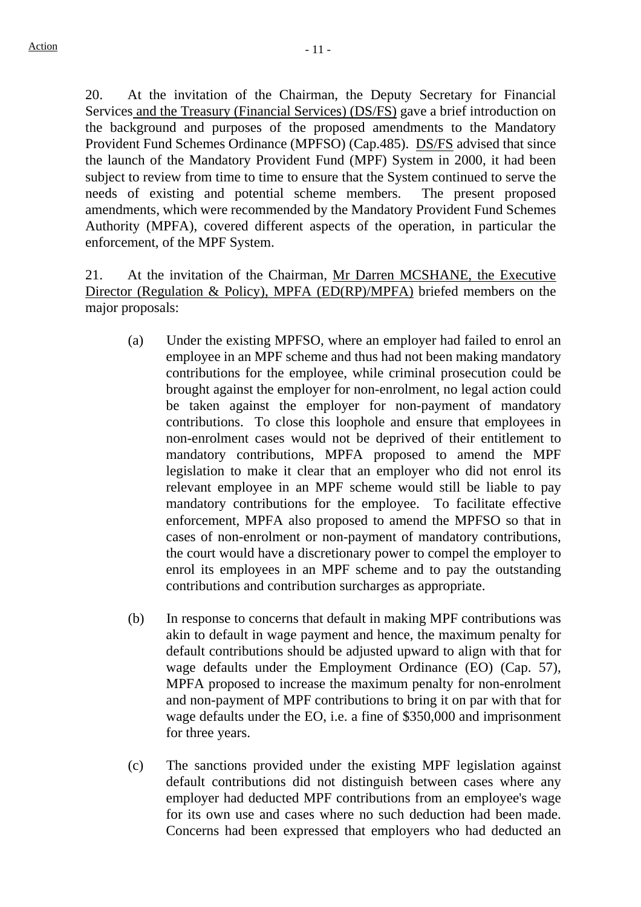20. At the invitation of the Chairman, the Deputy Secretary for Financial Services and the Treasury (Financial Services) (DS/FS) gave a brief introduction on the background and purposes of the proposed amendments to the Mandatory Provident Fund Schemes Ordinance (MPFSO) (Cap.485). DS/FS advised that since the launch of the Mandatory Provident Fund (MPF) System in 2000, it had been subject to review from time to time to ensure that the System continued to serve the needs of existing and potential scheme members. The present proposed amendments, which were recommended by the Mandatory Provident Fund Schemes Authority (MPFA), covered different aspects of the operation, in particular the enforcement, of the MPF System.

21. At the invitation of the Chairman, Mr Darren MCSHANE, the Executive Director (Regulation & Policy), MPFA (ED(RP)/MPFA) briefed members on the major proposals:

- (a) Under the existing MPFSO, where an employer had failed to enrol an employee in an MPF scheme and thus had not been making mandatory contributions for the employee, while criminal prosecution could be brought against the employer for non-enrolment, no legal action could be taken against the employer for non-payment of mandatory contributions. To close this loophole and ensure that employees in non-enrolment cases would not be deprived of their entitlement to mandatory contributions, MPFA proposed to amend the MPF legislation to make it clear that an employer who did not enrol its relevant employee in an MPF scheme would still be liable to pay mandatory contributions for the employee. To facilitate effective enforcement, MPFA also proposed to amend the MPFSO so that in cases of non-enrolment or non-payment of mandatory contributions, the court would have a discretionary power to compel the employer to enrol its employees in an MPF scheme and to pay the outstanding contributions and contribution surcharges as appropriate.
- (b) In response to concerns that default in making MPF contributions was akin to default in wage payment and hence, the maximum penalty for default contributions should be adjusted upward to align with that for wage defaults under the Employment Ordinance (EO) (Cap. 57), MPFA proposed to increase the maximum penalty for non-enrolment and non-payment of MPF contributions to bring it on par with that for wage defaults under the EO, i.e. a fine of \$350,000 and imprisonment for three years.
- (c) The sanctions provided under the existing MPF legislation against default contributions did not distinguish between cases where any employer had deducted MPF contributions from an employee's wage for its own use and cases where no such deduction had been made. Concerns had been expressed that employers who had deducted an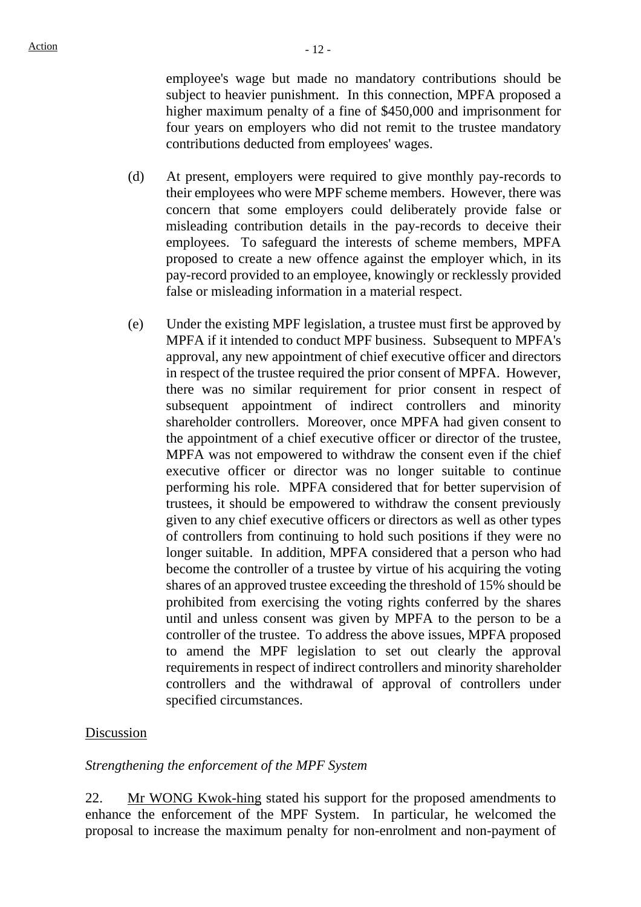employee's wage but made no mandatory contributions should be subject to heavier punishment. In this connection, MPFA proposed a higher maximum penalty of a fine of \$450,000 and imprisonment for four years on employers who did not remit to the trustee mandatory contributions deducted from employees' wages.

- (d) At present, employers were required to give monthly pay-records to their employees who were MPF scheme members. However, there was concern that some employers could deliberately provide false or misleading contribution details in the pay-records to deceive their employees. To safeguard the interests of scheme members, MPFA proposed to create a new offence against the employer which, in its pay-record provided to an employee, knowingly or recklessly provided false or misleading information in a material respect.
- (e) Under the existing MPF legislation, a trustee must first be approved by MPFA if it intended to conduct MPF business. Subsequent to MPFA's approval, any new appointment of chief executive officer and directors in respect of the trustee required the prior consent of MPFA. However, there was no similar requirement for prior consent in respect of subsequent appointment of indirect controllers and minority shareholder controllers. Moreover, once MPFA had given consent to the appointment of a chief executive officer or director of the trustee, MPFA was not empowered to withdraw the consent even if the chief executive officer or director was no longer suitable to continue performing his role. MPFA considered that for better supervision of trustees, it should be empowered to withdraw the consent previously given to any chief executive officers or directors as well as other types of controllers from continuing to hold such positions if they were no longer suitable. In addition, MPFA considered that a person who had become the controller of a trustee by virtue of his acquiring the voting shares of an approved trustee exceeding the threshold of 15% should be prohibited from exercising the voting rights conferred by the shares until and unless consent was given by MPFA to the person to be a controller of the trustee. To address the above issues, MPFA proposed to amend the MPF legislation to set out clearly the approval requirements in respect of indirect controllers and minority shareholder controllers and the withdrawal of approval of controllers under specified circumstances.

### Discussion

#### *Strengthening the enforcement of the MPF System*

22. Mr WONG Kwok-hing stated his support for the proposed amendments to enhance the enforcement of the MPF System. In particular, he welcomed the proposal to increase the maximum penalty for non-enrolment and non-payment of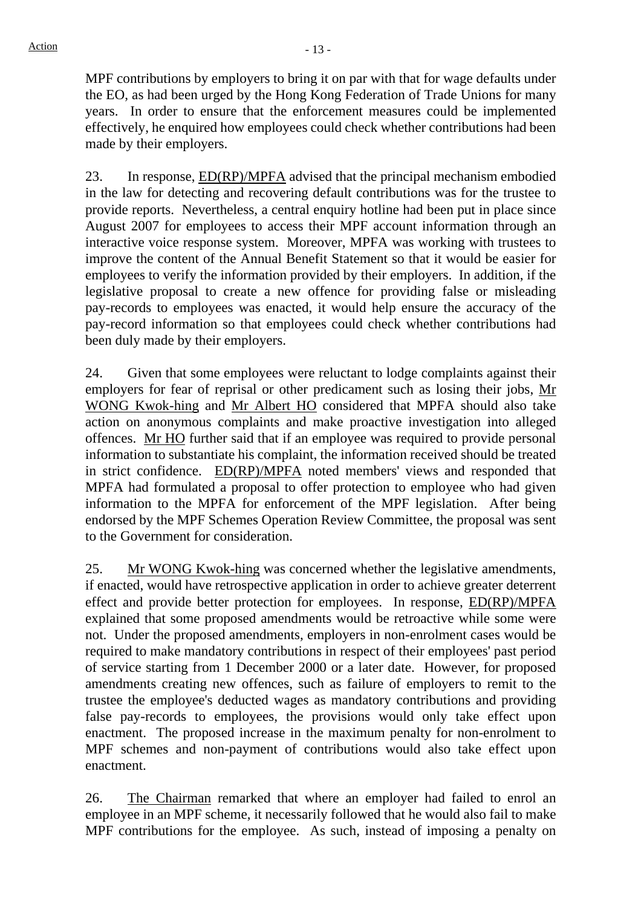MPF contributions by employers to bring it on par with that for wage defaults under the EO, as had been urged by the Hong Kong Federation of Trade Unions for many years. In order to ensure that the enforcement measures could be implemented effectively, he enquired how employees could check whether contributions had been made by their employers.

23. In response, ED(RP)/MPFA advised that the principal mechanism embodied in the law for detecting and recovering default contributions was for the trustee to provide reports. Nevertheless, a central enquiry hotline had been put in place since August 2007 for employees to access their MPF account information through an interactive voice response system. Moreover, MPFA was working with trustees to improve the content of the Annual Benefit Statement so that it would be easier for employees to verify the information provided by their employers. In addition, if the legislative proposal to create a new offence for providing false or misleading pay-records to employees was enacted, it would help ensure the accuracy of the pay-record information so that employees could check whether contributions had been duly made by their employers.

24. Given that some employees were reluctant to lodge complaints against their employers for fear of reprisal or other predicament such as losing their jobs, Mr WONG Kwok-hing and Mr Albert HO considered that MPFA should also take action on anonymous complaints and make proactive investigation into alleged offences. Mr HO further said that if an employee was required to provide personal information to substantiate his complaint, the information received should be treated in strict confidence. ED(RP)/MPFA noted members' views and responded that MPFA had formulated a proposal to offer protection to employee who had given information to the MPFA for enforcement of the MPF legislation. After being endorsed by the MPF Schemes Operation Review Committee, the proposal was sent to the Government for consideration.

25. Mr WONG Kwok-hing was concerned whether the legislative amendments, if enacted, would have retrospective application in order to achieve greater deterrent effect and provide better protection for employees. In response, ED(RP)/MPFA explained that some proposed amendments would be retroactive while some were not. Under the proposed amendments, employers in non-enrolment cases would be required to make mandatory contributions in respect of their employees' past period of service starting from 1 December 2000 or a later date. However, for proposed amendments creating new offences, such as failure of employers to remit to the trustee the employee's deducted wages as mandatory contributions and providing false pay-records to employees, the provisions would only take effect upon enactment. The proposed increase in the maximum penalty for non-enrolment to MPF schemes and non-payment of contributions would also take effect upon enactment.

26. The Chairman remarked that where an employer had failed to enrol an employee in an MPF scheme, it necessarily followed that he would also fail to make MPF contributions for the employee. As such, instead of imposing a penalty on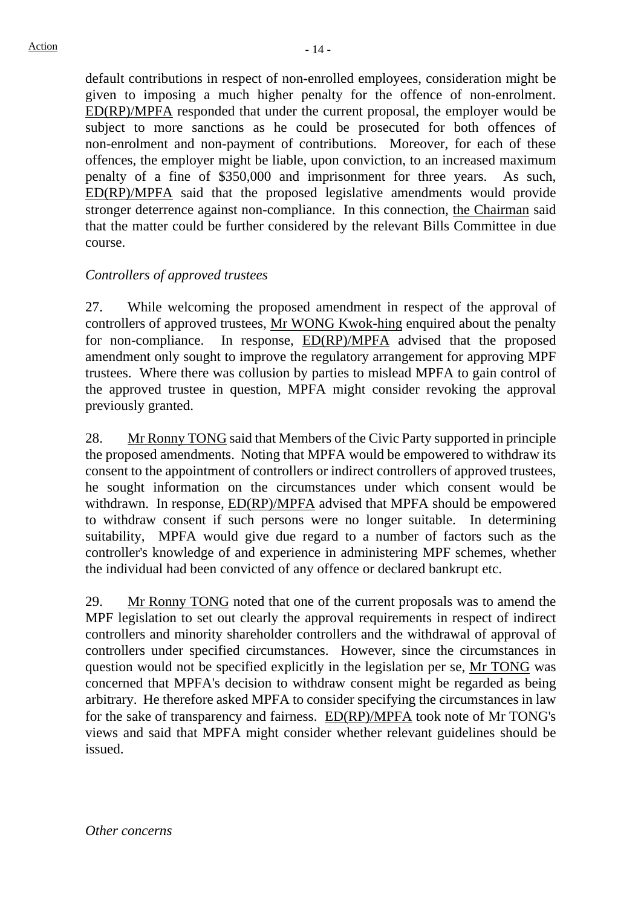default contributions in respect of non-enrolled employees, consideration might be given to imposing a much higher penalty for the offence of non-enrolment. ED(RP)/MPFA responded that under the current proposal, the employer would be subject to more sanctions as he could be prosecuted for both offences of non-enrolment and non-payment of contributions. Moreover, for each of these offences, the employer might be liable, upon conviction, to an increased maximum penalty of a fine of \$350,000 and imprisonment for three years. As such, ED(RP)/MPFA said that the proposed legislative amendments would provide stronger deterrence against non-compliance. In this connection, the Chairman said that the matter could be further considered by the relevant Bills Committee in due course.

# *Controllers of approved trustees*

27. While welcoming the proposed amendment in respect of the approval of controllers of approved trustees, Mr WONG Kwok-hing enquired about the penalty for non-compliance. In response, ED(RP)/MPFA advised that the proposed amendment only sought to improve the regulatory arrangement for approving MPF trustees. Where there was collusion by parties to mislead MPFA to gain control of the approved trustee in question, MPFA might consider revoking the approval previously granted.

28. Mr Ronny TONG said that Members of the Civic Party supported in principle the proposed amendments. Noting that MPFA would be empowered to withdraw its consent to the appointment of controllers or indirect controllers of approved trustees, he sought information on the circumstances under which consent would be withdrawn. In response, ED(RP)/MPFA advised that MPFA should be empowered to withdraw consent if such persons were no longer suitable. In determining suitability, MPFA would give due regard to a number of factors such as the controller's knowledge of and experience in administering MPF schemes, whether the individual had been convicted of any offence or declared bankrupt etc.

29. Mr Ronny TONG noted that one of the current proposals was to amend the MPF legislation to set out clearly the approval requirements in respect of indirect controllers and minority shareholder controllers and the withdrawal of approval of controllers under specified circumstances. However, since the circumstances in question would not be specified explicitly in the legislation per se, Mr TONG was concerned that MPFA's decision to withdraw consent might be regarded as being arbitrary. He therefore asked MPFA to consider specifying the circumstances in law for the sake of transparency and fairness. ED(RP)/MPFA took note of Mr TONG's views and said that MPFA might consider whether relevant guidelines should be issued.